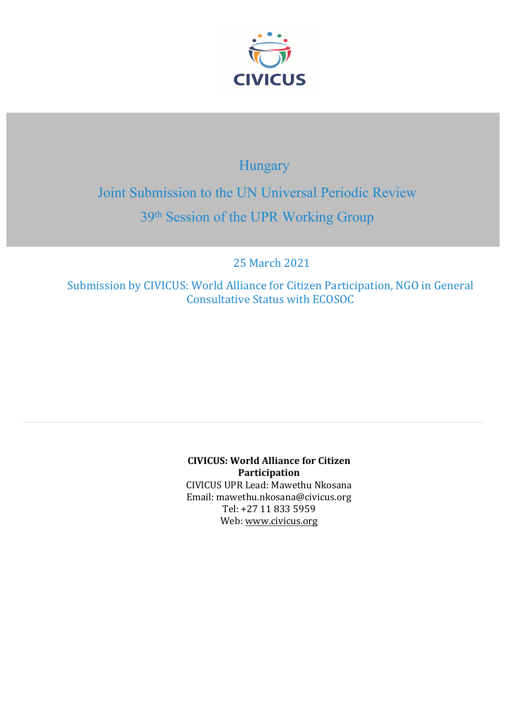

# Hungary

Joint Submission to the UN Universal Periodic Review 39th Session of the UPR Working Group

25 March 2021

Submission by CIVICUS: World Alliance for Citizen Participation, NGO in General Consultative Status with ECOSOC

> **CIVICUS: World Alliance for Citizen Participation** CIVICUS UPR Lead: Mawethu Nkosana Email: mawethu.nkosana@civicus.org Tel: +27 11 833 5959 Web: [www.civicus.org](http://www.civicus.org)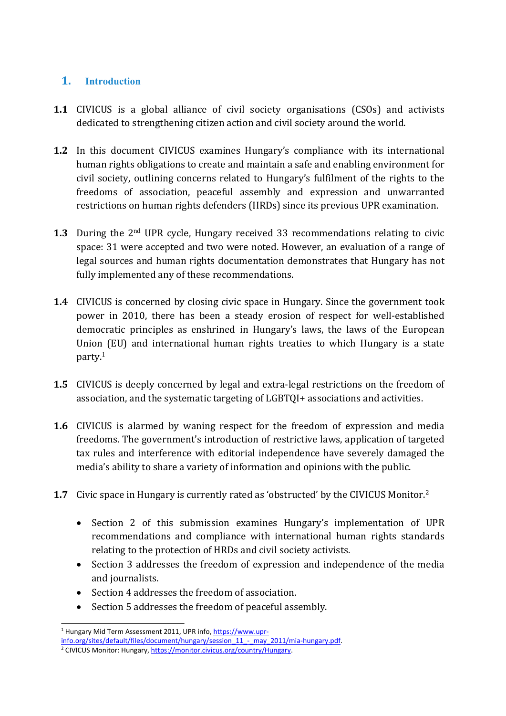# **1. Introduction**

- **1.1** CIVICUS is <sup>a</sup> global alliance of civil society organisations (CSOs) and activists dedicated to strengthening citizen action and civil society around the world.
- **1.2** In this document CIVICUS examines Hungary'<sup>s</sup> compliance with its international human rights obligations to create and maintain <sup>a</sup> safe and enabling environment for civil society, outlining concerns related to Hungary'<sup>s</sup> fulfilment of the rights to the freedoms of association, peaceful assembly and expression and unwarranted restrictions on human rights defenders (HRDs) since its previous UPR examination.
- **1.3** During the 2<sup>nd</sup> UPR cycle, Hungary received 33 recommendations relating to civic space: 31 were accepted and two were noted. However, an evaluation of <sup>a</sup> range of legal sources and human rights documentation demonstrates that Hungary has not fully implemented any of these recommendations.
- **1.4** CIVICUS is concerned by closing civic space in Hungary. Since the governmen<sup>t</sup> took power in 2010, there has been <sup>a</sup> steady erosion of respect for well-established democratic principles as enshrined in Hungary'<sup>s</sup> laws, the laws of the European Union (EU) and international human rights treaties to which Hungary is <sup>a</sup> state party. 1
- **1.5** CIVICUS is deeply concerned by legal and extra-legal restrictions on the freedom of association, and the systematic targeting of LGBTQI+ associations and activities.
- **1.6** CIVICUS is alarmed by waning respect for the freedom of expression and media freedoms. The government'<sup>s</sup> introduction of restrictive laws, application of targeted tax rules and interference with editorial independence have severely damaged the media'<sup>s</sup> ability to share <sup>a</sup> variety of information and opinions with the public.
- **1.7** Civic space in Hungary is currently rated as 'obstructed' by the CIVICUS Monitor.<sup>2</sup>
	- $\bullet$  Section 2 of this submission examines Hungary'<sup>s</sup> implementation of UPR recommendations and compliance with international human rights standards relating to the protection of HRDs and civil society activists.
	- Section 3 addresses the freedom of expression and independence of the media and journalists.
	- Section 4 addresses the freedom of association.
	- $\bullet$ Section 5 addresses the freedom of peaceful assembly.

<sup>&</sup>lt;sup>1</sup> Hungary Mid Term Assessment 2011, UPR info, [https://www.upr-](https://www.upr-info.org/sites/default/files/document/hungary/session_11_-_may_2011/mia-hungary.pdf)

[info.org/sites/default/files/document/hungary/session\\_11\\_-\\_may\\_2011/mia-hungary.pdf](https://www.upr-info.org/sites/default/files/document/hungary/session_11_-_may_2011/mia-hungary.pdf). <sup>2</sup> CIVICUS Monitor: Hungary, <https://monitor.civicus.org/country/Hungary>.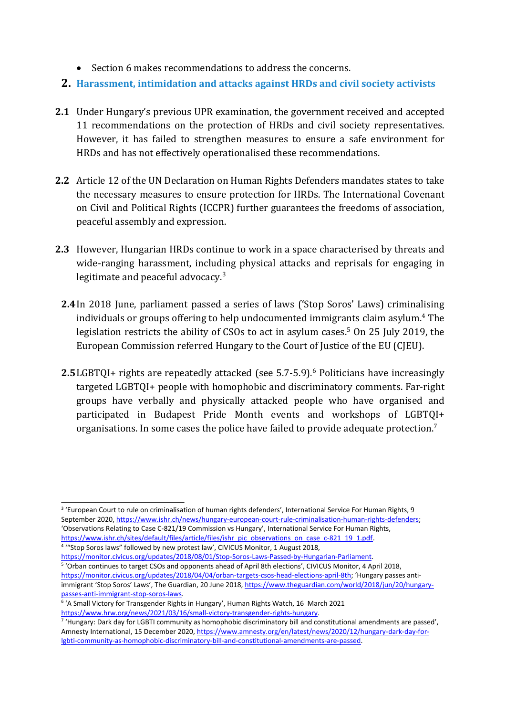- Section 6 makes recommendations to address the concerns.
- **2. Harassment, intimidation and attacks against HRDs and civil society activists**
- **2.1** Under Hungary'<sup>s</sup> previous UPR examination, the governmen<sup>t</sup> received and accepted 11 recommendations on the protection of HRDs and civil society representatives. However, it has failed to strengthen measures to ensure <sup>a</sup> safe environment for HRDs and has not effectively operationalised these recommendations.
- **2.2** Article 12 of the UN Declaration on Human Rights Defenders mandates states to take the necessary measures to ensure protection for HRDs. The International Covenant on Civil and Political Rights (ICCPR) further guarantees the freedoms of association, peaceful assembly and expression.
- **2.3** However, Hungarian HRDs continue to work in <sup>a</sup> space characterised by threats and wide-ranging harassment, including physical attacks and reprisals for engaging in legitimate and peaceful advocacy.<sup>3</sup>
	- **2.4**In 2018 June, parliament passed <sup>a</sup> series of laws ('Stop Soros' Laws) criminalising individuals or groups offering to help undocumented immigrants claim asylum. 4 The legislation restricts the ability of CSOs to act in asylum cases. 5 On 25 July 2019, the European Commission referred Hungary to the Court of Justice of the EU (CJEU).
	- **2.5**LGBTQI+ rights are repeatedly attacked (see 5.7-5.9). 6 Politicians have increasingly targeted LGBTQI+ people with homophobic and discriminatory comments. Far-right groups have verbally and physically attacked people who have organised and participated in Budapest Pride Month events and workshops of LGBTQI+ organisations. In some cases the police have failed to provide adequate protection. $^7$

4 '"Stop Soros laws" followed by new protest law', CIVICUS Monitor, 1 August 2018, [https://monitor.civicus.org/updates/2018/08/01/Stop-Soros-Laws-Passed-by-Hungarian-Parliament](https://monitor.civicus.org/updates/2018/08/01/Stop-Soros-Laws-Passed-by-Hungarian-Parliament/).

<sup>&</sup>lt;sup>3</sup> 'European Court to rule on criminalisation of human rights defenders', International Service For Human Rights, 9 September 2020, <https://www.ishr.ch/news/hungary-european-court-rule-criminalisation-human-rights-defenders>; 'Observations Relating to Case C-821/19 Commission vs Hungary', International Service For Human Rights, [https://www.ishr.ch/sites/default/files/article/files/ishr\\_pic\\_observations\\_on\\_case\\_c-821\\_19\\_1.pdf](https://www.ishr.ch/sites/default/files/article/files/ishr_pic_observations_on_case_c-821_19_1.pdf).

<sup>5</sup> 'Orban continues to target CSOs and opponents ahead of April 8th elections', CIVICUS Monitor, 4 April 2018, [https://monitor.civicus.org/updates/2018/04/04/orban-targets-csos-head-elections-april-8th](https://monitor.civicus.org/updates/2018/04/04/orban-targets-csos-head-elections-april-8th/); 'Hungary passes antiimmigrant 'Stop Soros' Laws', The Guardian, 20 June 2018, [https://www.theguardian.com/world/2018/jun/20/hungary](https://www.theguardian.com/world/2018/jun/20/hungary-passes-anti-immigrant-stop-soros-laws)[passes-anti-immigrant-stop-soros-laws](https://www.theguardian.com/world/2018/jun/20/hungary-passes-anti-immigrant-stop-soros-laws).

<sup>6</sup> 'A Small Victory for Transgender Rights in Hungary', Human Rights Watch, 16 March 2021 <https://www.hrw.org/news/2021/03/16/small-victory-transgender-rights-hungary>.

<sup>7</sup> 'Hungary: Dark day for LGBTI community as homophobic discriminatory bill and constitutional amendments are passed', Amnesty International, 15 December 2020, [https://www.amnesty.org/en/latest/news/2020/12/hungary-dark-day-for](https://www.amnesty.org/en/latest/news/2020/12/hungary-dark-day-for-lgbti-community-as-homophobic-discriminatory-bill-and-constitutional-amendments-are-passed/)[lgbti-community-as-homophobic-discriminatory-bill-and-constitutional-amendments-are-passed](https://www.amnesty.org/en/latest/news/2020/12/hungary-dark-day-for-lgbti-community-as-homophobic-discriminatory-bill-and-constitutional-amendments-are-passed/).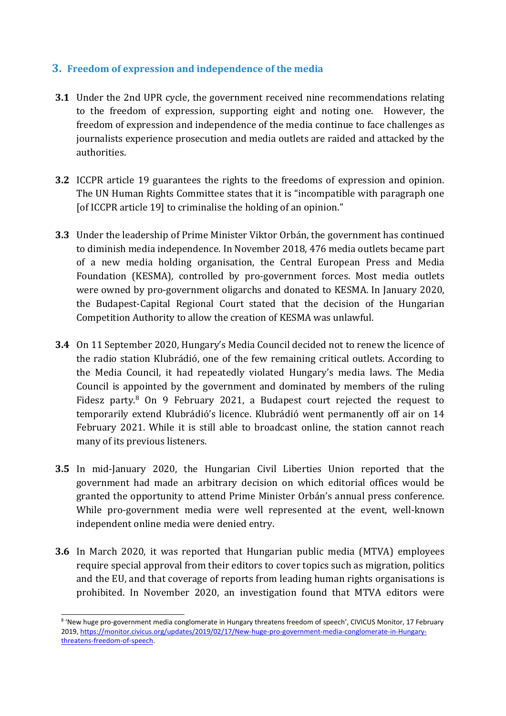#### **3. Freedom of expression and independence of the media**

- **3.1** Under the 2nd UPR cycle, the governmen<sup>t</sup> received nine recommendations relating to the freedom of expression, supporting eight and noting one. However, the freedom of expression and independence of the media continue to face challenges as journalists experience prosecution and media outlets are raided and attacked by the authorities.
- **3.2** ICCPR article 19 guarantees the rights to the freedoms of expression and opinion. The UN Human Rights Committee states that it is "incompatible with paragraph one [of ICCPR article 19] to criminalise the holding of an opinion."
- **3.3** Under the leadership of Prime Minister Viktor Orbán, the governmen<sup>t</sup> has continued to diminish media independence. In November 2018, 476 media outlets became part of <sup>a</sup> new media holding organisation, the Central European Press and Media Foundation (KESMA), controlled by pro-governmen<sup>t</sup> forces. Most media outlets were owned by pro-governmen<sup>t</sup> oligarchs and donated to KESMA. In January 2020, the Budapest-Capital Regional Court stated that the decision of the Hungarian Competition Authority to allow the creation of KESMA was unlawful.
- **3.4** On 11 September 2020, Hungary'<sup>s</sup> Media Council decided not to renew the licence of the radio station Klubrádió, one of the few remaining critical outlets. According to the Media Council, it had repeatedly violated Hungary'<sup>s</sup> media laws. The Media Council is appointed by the governmen<sup>t</sup> and dominated by members of the ruling Fidesz party.<sup>8</sup> On 9 February 2021, a Budapest court rejected the request to temporarily extend Klubrádió'<sup>s</sup> licence. Klubrádió went permanently off air on 14 February 2021. While it is still able to broadcast online, the station cannot reach many of its previous listeners.
- **3.5** In mid-January 2020, the Hungarian Civil Liberties Union reported that the governmen<sup>t</sup> had made an arbitrary decision on which editorial offices would be granted the opportunity to attend Prime Minister Orbán'<sup>s</sup> annual press conference. While pro-governmen<sup>t</sup> media were well represented at the event, well-known independent online media were denied entry.
- **3.6** In March 2020, it was reported that Hungarian public media (MTVA) employees require special approval from their editors to cover topics such as migration, politics and the EU, and that coverage of reports from leading human rights organisations is prohibited. In November 2020, an investigation found that MTVA editors were

4

<sup>&</sup>lt;sup>8</sup> 'New huge pro-government media conglomerate in Hungary threatens freedom of speech', CIVICUS Monitor, 17 February 2019, [https://monitor.civicus.org/updates/2019/02/17/New-huge-pro-government-media-conglomerate-in-Hungary](https://monitor.civicus.org/updates/2019/02/17/New-huge-pro-government-media-conglomerate-in-Hungary-threatens-freedom-of-speech/)[threatens-freedom-of-speech](https://monitor.civicus.org/updates/2019/02/17/New-huge-pro-government-media-conglomerate-in-Hungary-threatens-freedom-of-speech/).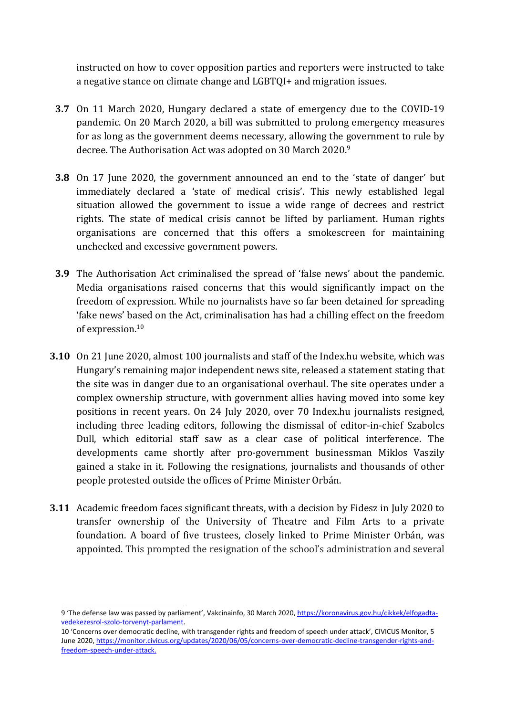instructed on how to cover opposition parties and reporters were instructed to take <sup>a</sup> negative stance on climate change and LGBTQI+ and migration issues.

- **3.7** On 11 March 2020, Hungary declared <sup>a</sup> state of emergency due to the COVID-19 pandemic. On 20 March 2020, <sup>a</sup> bill was submitted to prolong emergency measures for as long as the governmen<sup>t</sup> deems necessary, allowing the governmen<sup>t</sup> to rule by decree. The Authorisation Act was adopted on 30 March 2020. $^{\rm 9}$
- **3.8** On 17 June 2020, the governmen<sup>t</sup> announced an end to the 'state of danger' but immediately declared <sup>a</sup> 'state of medical crisis'. This newly established legal situation allowed the governmen<sup>t</sup> to issue <sup>a</sup> wide range of decrees and restrict rights. The state of medical crisis cannot be lifted by parliament. Human rights organisations are concerned that this offers <sup>a</sup> smokescreen for maintaining unchecked and excessive governmen<sup>t</sup> powers.
- **3.9** The Authorisation Act criminalised the spread of 'false news' about the pandemic. Media organisations raised concerns that this would significantly impact on the freedom of expression. While no journalists have so far been detained for spreading 'fake news' based on the Act, criminalisation has had <sup>a</sup> chilling effect on the freedom of expression. $^{\rm 10}$
- **3.10** On 21 June 2020, almost 100 journalists and staff of the Index.hu website, which was Hungary'<sup>s</sup> remaining major independent news site, released <sup>a</sup> statement stating that the site was in danger due to an organisational overhaul. The site operates under <sup>a</sup> complex ownership structure, with governmen<sup>t</sup> allies having moved into some key positions in recent years. On 24 July 2020, over 70 Index.hu journalists resigned, including three leading editors, following the dismissal of editor-in-chief Szabolcs Dull, which editorial staff saw as <sup>a</sup> clear case of political interference. The developments came shortly after pro-governmen<sup>t</sup> businessman Miklos Vaszily gained <sup>a</sup> stake in it. Following the resignations, journalists and thousands of other people protested outside the offices of Prime Minister Orbán.
- **3.11** Academic freedom faces significant threats, with <sup>a</sup> decision by Fidesz in July 2020 to transfer ownership of the University of Theatre and Film Arts to <sup>a</sup> private foundation. A board of five trustees, closely linked to Prime Minister Orbán, was appointed. This prompted the resignation of the school'<sup>s</sup> administration and several

<sup>9</sup> 'The defense law was passed by parliament', Vakcinainfo, 30 March 2020, [https://koronavirus.gov.hu/cikkek/elfogadta](https://koronavirus.gov.hu/cikkek/elfogadta-vedekezesrol-szolo-torvenyt-parlament)[vedekezesrol-szolo-torvenyt-parlament](https://koronavirus.gov.hu/cikkek/elfogadta-vedekezesrol-szolo-torvenyt-parlament).

<sup>10</sup> 'Concerns over democratic decline, with transgender rights and freedom of speech under attack', CIVICUS Monitor, 5 June 2020, [https://monitor.civicus.org/updates/2020/06/05/concerns-over-democratic-decline-transgender-rights-and](https://monitor.civicus.org/updates/2020/06/05/concerns-over-democratic-decline-transgender-rights-and-freedom-speech-under-attack.)[freedom-speech-under-attack.](https://monitor.civicus.org/updates/2020/06/05/concerns-over-democratic-decline-transgender-rights-and-freedom-speech-under-attack.)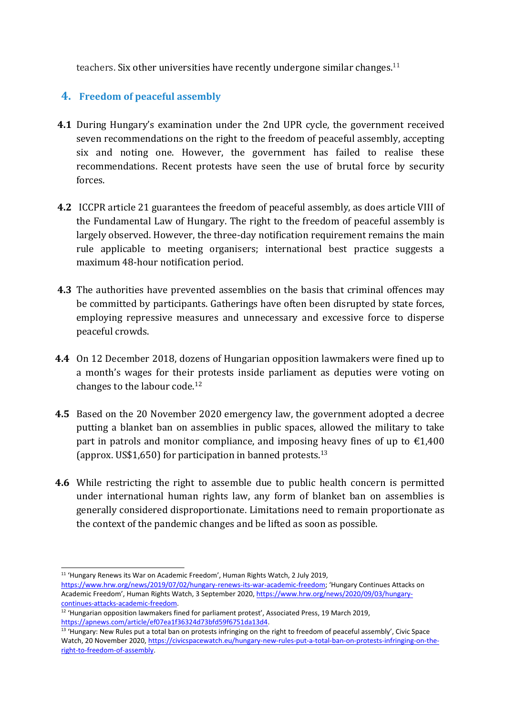teachers. Six other universities have recently undergone similar changes. 11

## **4. Freedom of peaceful assembly**

- **4.1** During Hungary'<sup>s</sup> examination under the 2nd UPR cycle, the governmen<sup>t</sup> received seven recommendations on the right to the freedom of peaceful assembly, accepting six and noting one. However, the governmen<sup>t</sup> has failed to realise these recommendations. Recent protests have seen the use of brutal force by security forces.
- **4.2** ICCPR article 21 guarantees the freedom of peaceful assembly, as does article VIII of the Fundamental Law of Hungary. The right to the freedom of peaceful assembly is largely observed. However, the three-day notification requirement remains the main rule applicable to meeting organisers; international best practice suggests <sup>a</sup> maximum 48-hour notification period.
- **4.3** The authorities have prevented assemblies on the basis that criminal offences may be committed by participants. Gatherings have often been disrupted by state forces, employing repressive measures and unnecessary and excessive force to disperse peaceful crowds.
- **4.4** On 12 December 2018, dozens of Hungarian opposition lawmakers were fined up to <sup>a</sup> month'<sup>s</sup> wages for their protests inside parliament as deputies were voting on changes to the labour code. 12
- **4.5** Based on the 20 November 2020 emergency law, the governmen<sup>t</sup> adopted <sup>a</sup> decree putting <sup>a</sup> blanket ban on assemblies in public spaces, allowed the military to take part in patrols and monitor compliance, and imposing heavy fines of up to  $\epsilon$ 1,400 (approx. US\$1,650) for participation in banned protests. $^{\rm 13}$
- **4.6** While restricting the right to assemble due to public health concern is permitted under international human rights law, any form of blanket ban on assemblies is generally considered disproportionate. Limitations need to remain proportionate as the context of the pandemic changes and be lifted as soon as possible.

<sup>&</sup>lt;sup>11</sup> 'Hungary Renews its War on Academic Freedom', Human Rights Watch, 2 July 2019, <https://www.hrw.org/news/2019/07/02/hungary-renews-its-war-academic-freedom>; 'Hungary Continues Attacks on Academic Freedom', Human Rights Watch, 3 September 2020, [https://www.hrw.org/news/2020/09/03/hungary](https://www.hrw.org/news/2020/09/03/hungary-continues-attacks-academic-freedom)[continues-attacks-academic-freedom](https://www.hrw.org/news/2020/09/03/hungary-continues-attacks-academic-freedom).

 $12$  'Hungarian opposition lawmakers fined for parliament protest', Associated Press, 19 March 2019, <https://apnews.com/article/ef07ea1f36324d73bfd59f6751da13d4>.

<sup>&</sup>lt;sup>13</sup> 'Hungary: New Rules put a total ban on protests infringing on the right to freedom of peaceful assembly', Civic Space Watch, 20 November 2020, [https://civicspacewatch.eu/hungary-new-rules-put-a-total-ban-on-protests-infringing-on-the](https://civicspacewatch.eu/hungary-new-rules-put-a-total-ban-on-protests-infringing-on-the-right-to-freedom-of-assembly/)[right-to-freedom-of-assembly](https://civicspacewatch.eu/hungary-new-rules-put-a-total-ban-on-protests-infringing-on-the-right-to-freedom-of-assembly/).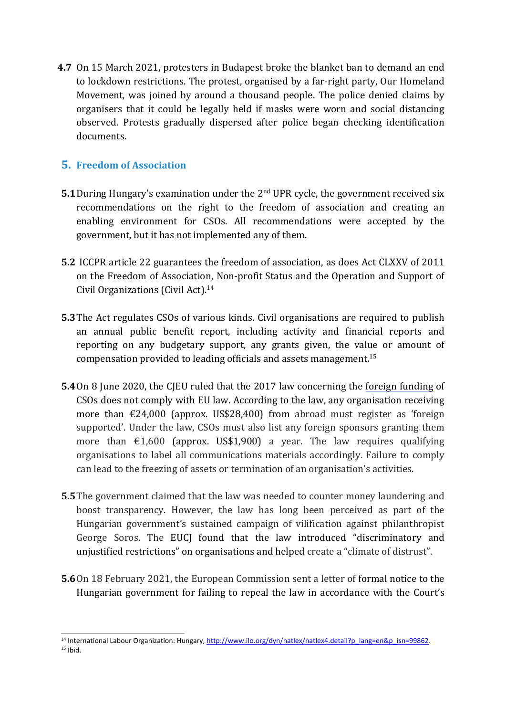**4.7** On 15 March 2021, protesters in Budapest broke the blanket ban to demand an end to lockdown restrictions. The protest, organised by <sup>a</sup> far-right party, Our Homeland Movement, was joined by around <sup>a</sup> thousand people. The police denied claims by organisers that it could be legally held if masks were worn and social distancing observed. Protests gradually dispersed after police began checking identification documents.

#### **5. Freedom of Association**

- **5.1** During Hungary's examination under the 2<sup>nd</sup> UPR cycle, the government received six recommendations on the right to the freedom of association and creating an enabling environment for CSOs. All recommendations were accepted by the government, but it has not implemented any of them.
- **5.2** ICCPR article 22 guarantees the freedom of association, as does Act CLXXV of 2011 on the Freedom of Association, Non-profit Status and the Operation and Support of Civil Organizations (Civil Act). 14
- **5.3**The Act regulates CSOs of various kinds. Civil organisations are required to publish an annual public benefit report, including activity and financial reports and reporting on any budgetary support, any grants given, the value or amount of compensation provided to leading officials and assets management. 15
- **5.4**On 8 June 2020, the CJEU [ruled](https://curia.europa.eu/jcms/upload/docs/application/pdf/2020-06/cp200073en.pdf) that the 2017 law concerning the foreign [funding](https://monitor.civicus.org/updates/2020/07/02/eu-court-finds-ngo-foreign-funding-law-violates-eu-law-independent-media-under-threat/) of CSOs does not comply with EU law. According to the law, any organisation receiving more than €24,000 (approx. US\$28,400) from abroad must register as 'foreign supported'. Under the law, CSOs must also list any foreign sponsors granting them more than  $\epsilon$ 1,600 (approx. US\$1,900) a year. The law requires qualifying organisations to label all communications materials accordingly. Failure to comply can lead to the freezing of assets or termination of an organisation'<sup>s</sup> activities.
- **5.5**The governmen<sup>t</sup> claimed that the law was needed to counter money laundering and boost transparency. However, the law has long been perceived as part of the Hungarian government'<sup>s</sup> sustained campaign of vilification against philanthropist George Soros. The EUCJ [found](https://www.nytimes.com/2020/06/18/world/europe/hungary-eu-ngo-law.html) that the law introduced "discriminatory and unjustified restrictions" on organisations and helped create <sup>a</sup> "climate of distrust".
- **5.6**On 18 February 2021, the European Commission sent <sup>a</sup> letter of formal notice to the Hungarian governmen<sup>t</sup> for failing to repeal the law in accordance with the Court'<sup>s</sup>

<sup>&</sup>lt;sup>14</sup> International Labour Organization: Hungary, [http://www.ilo.org/dyn/natlex/natlex4.detail?p\\_lang=en&p\\_isn=99862](http://www.ilo.org/dyn/natlex/natlex4.detail?p_lang=en&p_isn=99862).  $15$  Ibid.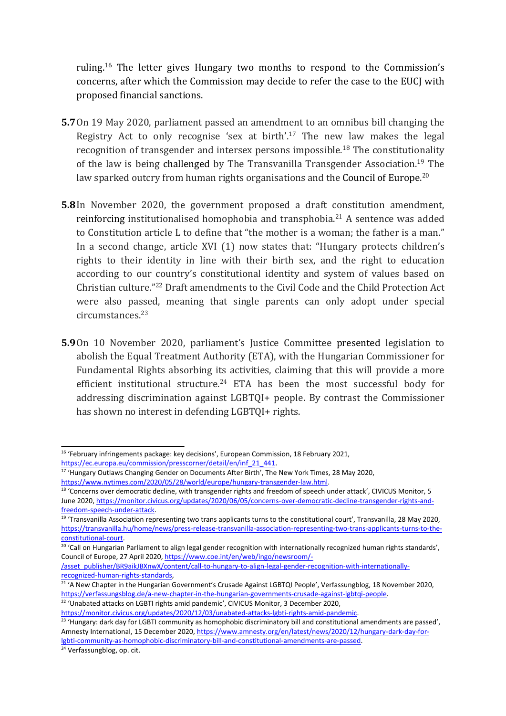ruling. 16 The letter gives Hungary two months to respond to the Commission'<sup>s</sup> concerns, after which the Commission may decide to refer the case to the EUCJ with proposed financial sanctions.

- **5.7**On 19 May 2020, parliament passed an amendment to an omnibus bill changing the Registry Act to only recognise 'sex at birth'. 17 The new law makes the legal recognition of transgender and intersex persons impossible.<sup>18</sup> The constitutionality of the law is being challenged by The Transvanilla Transgender Association.<sup>19</sup> The law sparked outcry from human rights organisations and the Council of Europe. $^{20}$
- **5.8**In November 2020, the governmen<sup>t</sup> proposed <sup>a</sup> draft constitution amendment, reinforcing institutionalised homophobia and transphobia.<sup>21</sup> A sentence was added to Constitution article L to define that "the mother is <sup>a</sup> woman; the father is <sup>a</sup> man." In <sup>a</sup> second change, article XVI (1) now states that: "Hungary protects children'<sup>s</sup> rights to their identity in line with their birth sex, and the right to education according to our country'<sup>s</sup> constitutional identity and system of values based on Christian culture."<sup>22</sup> Draft amendments to the Civil Code and the Child Protection Act were also passed, meaning that single parents can only adopt under special circumstances. 23
- **5.9**On 10 November 2020, parliament'<sup>s</sup> Justice Committee presented legislation to abolish the Equal Treatment Authority (ETA), with the Hungarian Commissioner for Fundamental Rights absorbing its activities, claiming that this will provide <sup>a</sup> more efficient institutional structure. 24 ETA has been the most successful body for addressing discrimination against LGBTQI+ people. By contrast the Commissioner has shown no interest in defending LGBTQI+ rights.

<https://www.nytimes.com/2020/05/28/world/europe/hungary-transgender-law.html>.

<sup>&</sup>lt;sup>16</sup> 'February infringements package: key decisions', European Commission, 18 February 2021,

<sup>&</sup>lt;u>[https://ec.europa.eu/commission/presscorner/detail/en/inf\\_21\\_441](https://ec.europa.eu/commission/presscorner/detail/en/inf_21_441)</u>.<br><sup>17</sup> 'Hungary Outlaws Changing Gender on Documents After Birth', The New York Times, 28 May 2020,

<sup>&</sup>lt;sup>18</sup> 'Concerns over democratic decline, with transgender rights and freedom of speech under attack', CIVICUS Monitor, 5 June 2020, [https://monitor.civicus.org/updates/2020/06/05/concerns-over-democratic-decline-transgender-rights-and](https://monitor.civicus.org/updates/2020/06/05/concerns-over-democratic-decline-transgender-rights-and-freedom-speech-under-attack/)[freedom-speech-under-attack](https://monitor.civicus.org/updates/2020/06/05/concerns-over-democratic-decline-transgender-rights-and-freedom-speech-under-attack/).

<sup>&</sup>lt;sup>19</sup> 'Transvanilla Association representing two trans applicants turns to the constitutional court', Transvanilla, 28 May 2020, [https://transvanilla.hu/home/news/press-release-transvanilla-association-representing-two-trans-applicants-turns-to-the](https://transvanilla.hu/home/news/press-release-transvanilla-association-representing-two-trans-applicants-turns-to-the-constitutional-court)[constitutional-court](https://transvanilla.hu/home/news/press-release-transvanilla-association-representing-two-trans-applicants-turns-to-the-constitutional-court).

 $^{20}$  'Call on Hungarian Parliament to align legal gender recognition with internationally recognized human rights standards', Council of Europe, 27 April 2020, [https://www.coe.int/en/web/ingo/newsroom/-](https://www.coe.int/en/web/ingo/newsroom/-/asset_publisher/BR9aikJBXnwX/content/call-to-hungary-to-align-legal-gender-recognition-with-internationally-recognized-human-rights-standards)

[<sup>/</sup>asset\\_publisher/BR9aikJBXnwX/content/call-to-hungary-to-align-legal-gender-recognition-with-internationally-](https://www.coe.int/en/web/ingo/newsroom/-/asset_publisher/BR9aikJBXnwX/content/call-to-hungary-to-align-legal-gender-recognition-with-internationally-recognized-human-rights-standards)

<sup>&</sup>lt;u>recognized-human-rights-standards</u>,<br><sup>21</sup> 'A New Chapter in the Hungarian Government's Crusade Against LGBTQI People', Verfassungblog, 18 November 2020, <https://verfassungsblog.de/a-new-chapter-in-the-hungarian-governments-crusade-against-lgbtqi-people>.

 $22$  'Unabated attacks on LGBTI rights amid pandemic', CIVICUS Monitor, 3 December 2020,

[https://monitor.civicus.org/updates/2020/12/03/unabated-attacks-lgbti-rights-amid-pandemic](https://monitor.civicus.org/updates/2020/12/03/unabated-attacks-lgbti-rights-amid-pandemic/).

<sup>&</sup>lt;sup>23</sup> 'Hungary: dark day for LGBTI community as homophobic discriminatory bill and constitutional amendments are passed', Amnesty International, 15 December 2020, [https://www.amnesty.org/en/latest/news/2020/12/hungary-dark-day-for](https://www.amnesty.org/en/latest/news/2020/12/hungary-dark-day-for-lgbti-community-as-homophobic-discriminatory-bill-and-constitutional-amendments-are-passed/)[lgbti-community-as-homophobic-discriminatory-bill-and-constitutional-amendments-are-passed](https://www.amnesty.org/en/latest/news/2020/12/hungary-dark-day-for-lgbti-community-as-homophobic-discriminatory-bill-and-constitutional-amendments-are-passed/).

<sup>&</sup>lt;sup>24</sup> Verfassungblog, op. cit.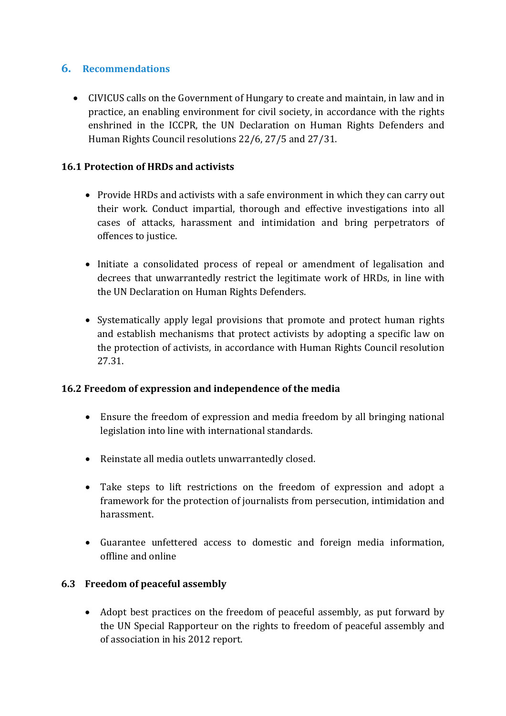## **6. Recommendations**

 CIVICUS calls on the Government of Hungary to create and maintain, in law and in practice, an enabling environment for civil society, in accordance with the rights enshrined in the ICCPR, the UN Declaration on Human Rights Defenders and Human Rights Council resolutions 22/6, 27/5 and 27/31.

#### **16.1 Protection of HRDs and activists**

- Provide HRDs and activists with <sup>a</sup> safe environment in which they can carry out their work. Conduct impartial, thorough and effective investigations into all cases of attacks, harassment and intimidation and bring perpetrators of offences to justice.
- Initiate a consolidated process of repeal or amendment of legalisation and decrees that unwarrantedly restrict the legitimate work of HRDs, in line with the UN Declaration on Human Rights Defenders.
- Systematically apply legal provisions that promote and protect human rights and establish mechanisms that protect activists by adopting <sup>a</sup> specific law on the protection of activists, in accordance with Human Rights Council resolution 27.31.

#### **16.2 Freedom of expression and independence of the media**

- Ensure the freedom of expression and media freedom by all bringing national legislation into line with international standards.
- Reinstate all media outlets unwarrantedly closed.
- Take steps to lift restrictions on the freedom of expression and adopt <sup>a</sup> framework for the protection of journalists from persecution, intimidation and harassment.
- Guarantee unfettered access to domestic and foreign media information, offline and online

#### **6.3 Freedom of peaceful assembly**

 Adopt best practices on the freedom of peaceful assembly, as put forward by the UN Special Rapporteur on the rights to freedom of peaceful assembly and of association in his 2012 report.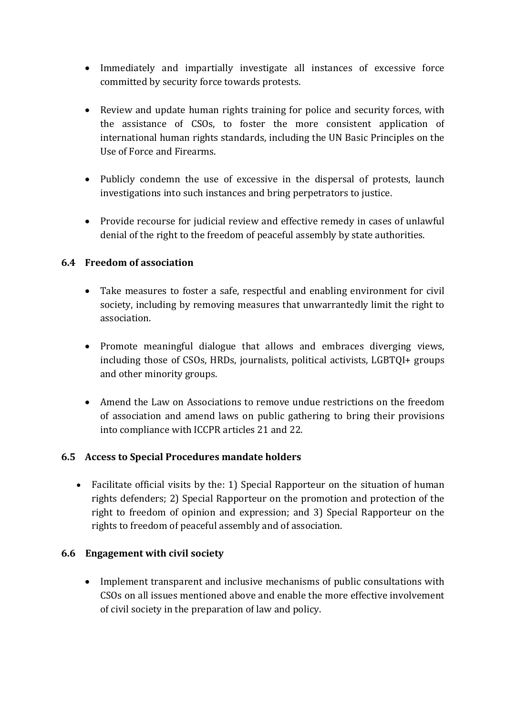- Immediately and impartially investigate all instances of excessive force committed by security force towards protests.
- $\bullet$  Review and update human rights training for police and security forces, with the assistance of CSOs, to foster the more consistent application of international human rights standards, including the UN Basic Principles on the Use of Force and Firearms.
- Publicly condemn the use of excessive in the dispersal of protests, launch investigations into such instances and bring perpetrators to justice.
- Provide recourse for judicial review and effective remedy in cases of unlawful denial of the right to the freedom of peaceful assembly by state authorities.

#### **6.4 Freedom of association**

- Take measures to foster <sup>a</sup> safe, respectful and enabling environment for civil society, including by removing measures that unwarrantedly limit the right to association.
- Promote meaningful dialogue that allows and embraces diverging views, including those of CSOs, HRDs, journalists, political activists, LGBTQI+ groups and other minority groups.
- Amend the Law on Associations to remove undue restrictions on the freedom of association and amend laws on public gathering to bring their provisions into compliance with ICCPR articles 21 and 22.

#### **6.5 Access to Special Procedures mandate holders**

 Facilitate official visits by the: 1) Special Rapporteur on the situation of human rights defenders; 2) Special Rapporteur on the promotion and protection of the right to freedom of opinion and expression; and 3) Special Rapporteur on the rights to freedom of peaceful assembly and of association.

#### **6.6 Engagement with civil society**

 Implement transparent and inclusive mechanisms of public consultations with CSOs on all issues mentioned above and enable the more effective involvement of civil society in the preparation of law and policy.